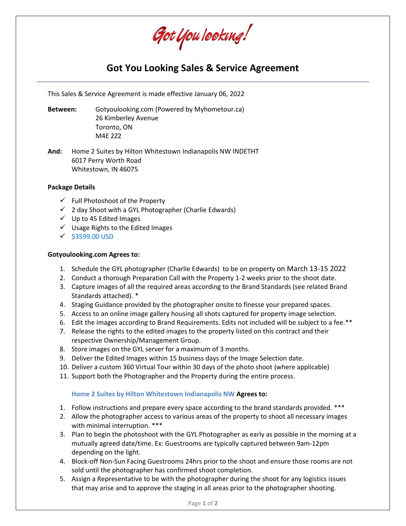Got You Iooking!

# **Got You Looking Sales & Service Agreement**

This Sales & Service Agreement is made effective January 06, 2022

**Between:** Gotyoulooking.com (Powered by Myhometour.ca) 26 Kimberley Avenue Toronto, ON M4E 2Z2

**And:** Home 2 Suites by Hilton Whitestown Indianapolis NW INDETHT 6017 Perry Worth Road Whitestown, IN 46075

#### **Package Details**

- ✓ Full Photoshoot of the Property
- $\checkmark$  2 day Shoot with a GYL Photographer (Charlie Edwards)
- $\checkmark$  Up to 45 Edited Images
- ✓ Usage Rights to the Edited Images
- ✓ \$3599.00 USD

#### **Gotyoulooking.com Agrees to:**

- 1. Schedule the GYL photographer (Charlie Edwards) to be on property on March 13-15 2022
- 2. Conduct a thorough Preparation Call with the Property 1-2 weeks prior to the shoot date.
- 3. Capture images of all the required areas according to the Brand Standards (see related Brand Standards attached). \*
- 4. Staging Guidance provided by the photographer onsite to finesse your prepared spaces.
- 5. Access to an online image gallery housing all shots captured for property image selection.
- 6. Edit the images according to Brand Requirements. Edits not included will be subject to a fee.\*\*
- 7. Release the rights to the edited images to the property listed on this contract and their respective Ownership/Management Group.
- 8. Store images on the GYL server for a maximum of 3 months.
- 9. Deliver the Edited Images within 15 business days of the Image Selection date.
- 10. Deliver a custom 360 Virtual Tour within 30 days of the photo shoot (where applicable)
- 11. Support both the Photographer and the Property during the entire process.

#### **Home 2 Suites by Hilton Whitestown Indianapolis NW Agrees to:**

- 1. Follow instructions and prepare every space according to the brand standards provided. \*\*\*
- 2. Allow the photographer access to various areas of the property to shoot all necessary images with minimal interruption. \*\*\*
- 3. Plan to begin the photoshoot with the GYL Photographer as early as possible in the morning at a mutually agreed date/time. Ex: Guestrooms are typically captured between 9am-12pm depending on the light.
- 4. Block-off Non-Sun Facing Guestrooms 24hrs prior to the shoot and ensure those rooms are not sold until the photographer has confirmed shoot completion.
- 5. Assign a Representative to be with the photographer during the shoot for any logistics issues that may arise and to approve the staging in all areas prior to the photographer shooting.